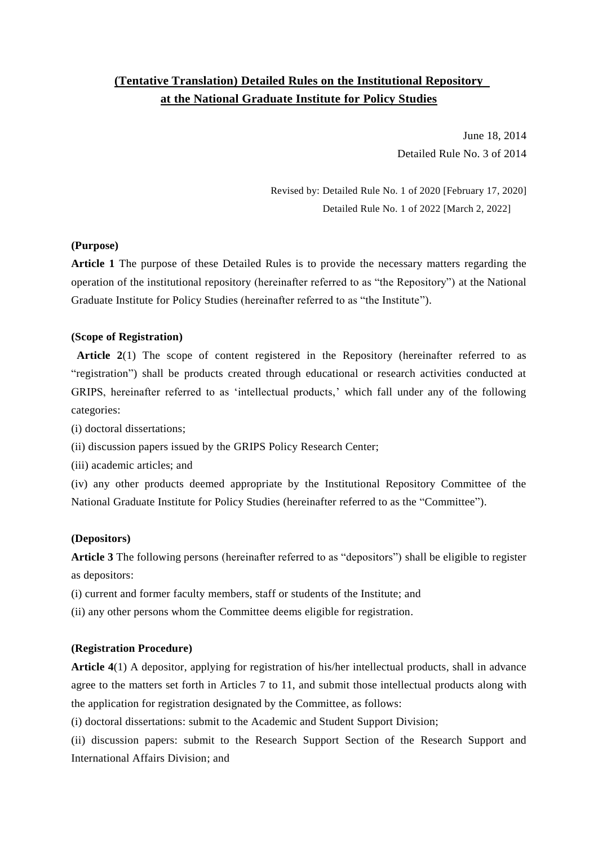# **(Tentative Translation) Detailed Rules on the Institutional Repository at the National Graduate Institute for Policy Studies**

June 18, 2014 Detailed Rule No. 3 of 2014

Revised by: Detailed Rule No. 1 of 2020 [February 17, 2020] Detailed Rule No. 1 of 2022 [March 2, 2022]

# **(Purpose)**

**Article 1** The purpose of these Detailed Rules is to provide the necessary matters regarding the operation of the institutional repository (hereinafter referred to as "the Repository") at the National Graduate Institute for Policy Studies (hereinafter referred to as "the Institute").

## **(Scope of Registration)**

**Article 2**(1) The scope of content registered in the Repository (hereinafter referred to as "registration") shall be products created through educational or research activities conducted at GRIPS, hereinafter referred to as 'intellectual products,' which fall under any of the following categories:

(i) doctoral dissertations;

(ii) discussion papers issued by the GRIPS Policy Research Center;

(iii) academic articles; and

(iv) any other products deemed appropriate by the Institutional Repository Committee of the National Graduate Institute for Policy Studies (hereinafter referred to as the "Committee").

## **(Depositors)**

**Article 3** The following persons (hereinafter referred to as "depositors") shall be eligible to register as depositors:

(i) current and former faculty members, staff or students of the Institute; and

(ii) any other persons whom the Committee deems eligible for registration.

## **(Registration Procedure)**

**Article 4**(1) A depositor, applying for registration of his/her intellectual products, shall in advance agree to the matters set forth in Articles 7 to 11, and submit those intellectual products along with the application for registration designated by the Committee, as follows:

(i) doctoral dissertations: submit to the Academic and Student Support Division;

(ii) discussion papers: submit to the Research Support Section of the Research Support and International Affairs Division; and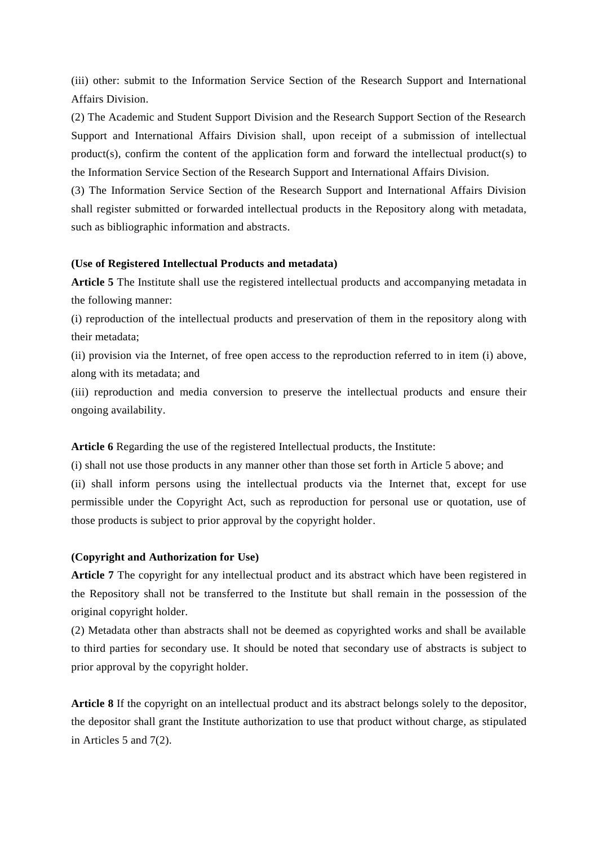(iii) other: submit to the Information Service Section of the Research Support and International Affairs Division.

(2) The Academic and Student Support Division and the Research Support Section of the Research Support and International Affairs Division shall, upon receipt of a submission of intellectual product(s), confirm the content of the application form and forward the intellectual product(s) to the Information Service Section of the Research Support and International Affairs Division.

(3) The Information Service Section of the Research Support and International Affairs Division shall register submitted or forwarded intellectual products in the Repository along with metadata, such as bibliographic information and abstracts.

## **(Use of Registered Intellectual Products and metadata)**

**Article 5** The Institute shall use the registered intellectual products and accompanying metadata in the following manner:

(i) reproduction of the intellectual products and preservation of them in the repository along with their metadata;

(ii) provision via the Internet, of free open access to the reproduction referred to in item (i) above, along with its metadata; and

(iii) reproduction and media conversion to preserve the intellectual products and ensure their ongoing availability.

**Article 6** Regarding the use of the registered Intellectual products, the Institute:

(i) shall not use those products in any manner other than those set forth in Article 5 above; and (ii) shall inform persons using the intellectual products via the Internet that, except for use permissible under the Copyright Act, such as reproduction for personal use or quotation, use of those products is subject to prior approval by the copyright holder.

## **(Copyright and Authorization for Use)**

**Article 7** The copyright for any intellectual product and its abstract which have been registered in the Repository shall not be transferred to the Institute but shall remain in the possession of the original copyright holder.

(2) Metadata other than abstracts shall not be deemed as copyrighted works and shall be available to third parties for secondary use. It should be noted that secondary use of abstracts is subject to prior approval by the copyright holder.

**Article 8** If the copyright on an intellectual product and its abstract belongs solely to the depositor, the depositor shall grant the Institute authorization to use that product without charge, as stipulated in Articles 5 and 7(2).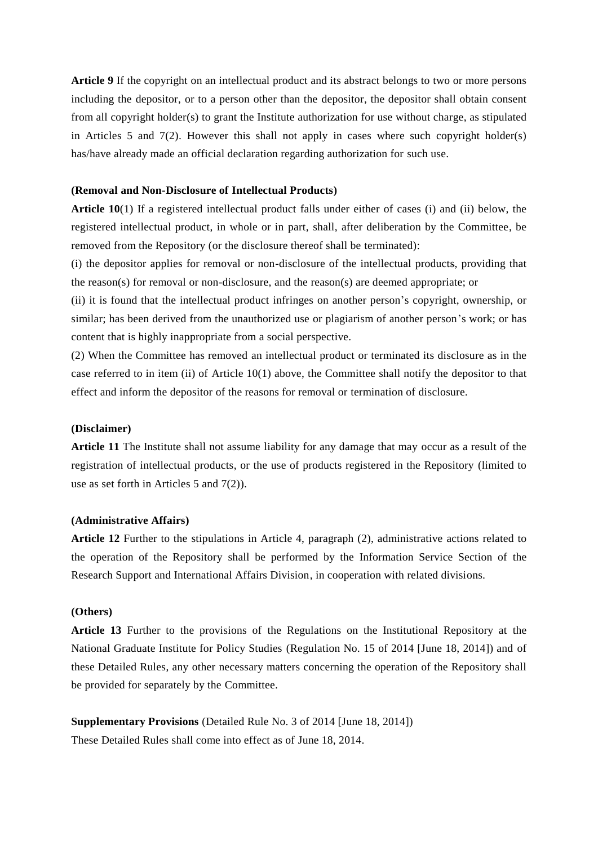**Article 9** If the copyright on an intellectual product and its abstract belongs to two or more persons including the depositor, or to a person other than the depositor, the depositor shall obtain consent from all copyright holder(s) to grant the Institute authorization for use without charge, as stipulated in Articles 5 and 7(2). However this shall not apply in cases where such copyright holder(s) has/have already made an official declaration regarding authorization for such use.

## **(Removal and Non-Disclosure of Intellectual Products)**

**Article 10**(1) If a registered intellectual product falls under either of cases (i) and (ii) below, the registered intellectual product, in whole or in part, shall, after deliberation by the Committee, be removed from the Repository (or the disclosure thereof shall be terminated):

(i) the depositor applies for removal or non-disclosure of the intellectual products, providing that the reason(s) for removal or non-disclosure, and the reason(s) are deemed appropriate; or

(ii) it is found that the intellectual product infringes on another person's copyright, ownership, or similar; has been derived from the unauthorized use or plagiarism of another person's work; or has content that is highly inappropriate from a social perspective.

(2) When the Committee has removed an intellectual product or terminated its disclosure as in the case referred to in item (ii) of Article 10(1) above, the Committee shall notify the depositor to that effect and inform the depositor of the reasons for removal or termination of disclosure.

#### **(Disclaimer)**

**Article 11** The Institute shall not assume liability for any damage that may occur as a result of the registration of intellectual products, or the use of products registered in the Repository (limited to use as set forth in Articles 5 and 7(2)).

#### **(Administrative Affairs)**

**Article 12** Further to the stipulations in Article 4, paragraph (2), administrative actions related to the operation of the Repository shall be performed by the Information Service Section of the Research Support and International Affairs Division, in cooperation with related divisions.

## **(Others)**

**Article 13** Further to the provisions of the Regulations on the Institutional Repository at the National Graduate Institute for Policy Studies (Regulation No. 15 of 2014 [June 18, 2014]) and of these Detailed Rules, any other necessary matters concerning the operation of the Repository shall be provided for separately by the Committee.

**Supplementary Provisions** (Detailed Rule No. 3 of 2014 [June 18, 2014]) These Detailed Rules shall come into effect as of June 18, 2014.